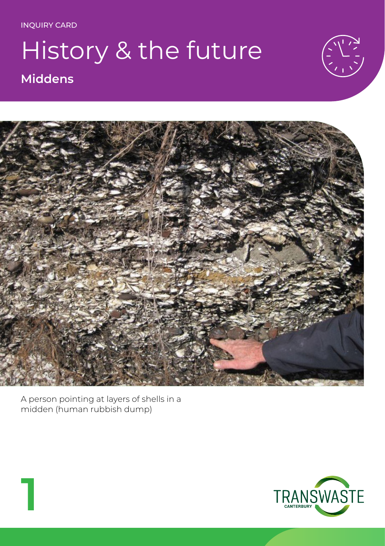#### History & the future **Middens**





A person pointing at layers of shells in a midden (human rubbish dump)

**1**

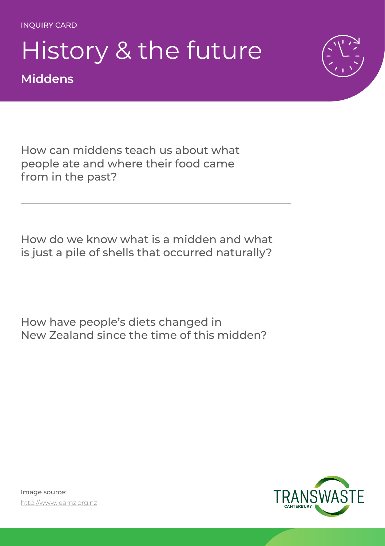#### History & the future **Middens**



How can middens teach us about what people ate and where their food came from in the past?

How do we know what is a midden and what is just a pile of shells that occurred naturally?

How have people's diets changed in New Zealand since the time of this midden?

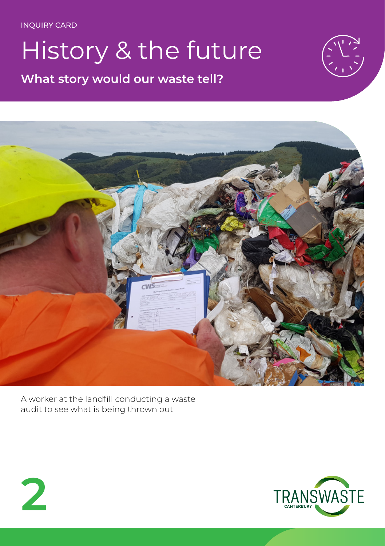## History & the future

**What story would our waste tell?**





A worker at the landfill conducting a waste audit to see what is being thrown out



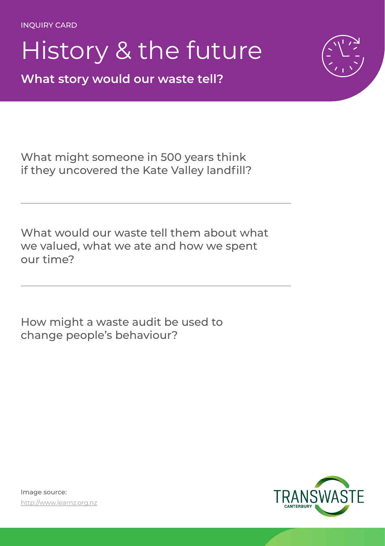### History & the future

**What story would our waste tell?**



What might someone in 500 years think if they uncovered the Kate Valley landfill?

What would our waste tell them about what we valued, what we ate and how we spent our time?

How might a waste audit be used to change people's behaviour?

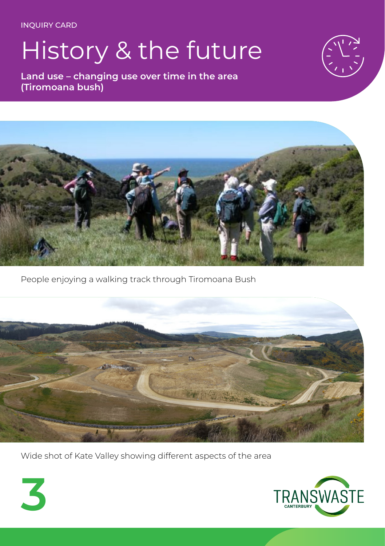**3**

# History & the future

**Land use – changing use over time in the area (Tiromoana bush)**





People enjoying a walking track through Tiromoana Bush



Wide shot of Kate Valley showing different aspects of the area

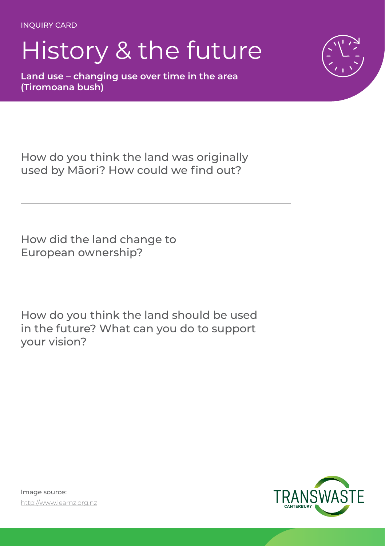# History & the future

**Land use – changing use over time in the area (Tiromoana bush)**



How do you think the land was originally used by Māori? How could we find out?

How did the land change to European ownership?

How do you think the land should be used in the future? What can you do to support your vision?

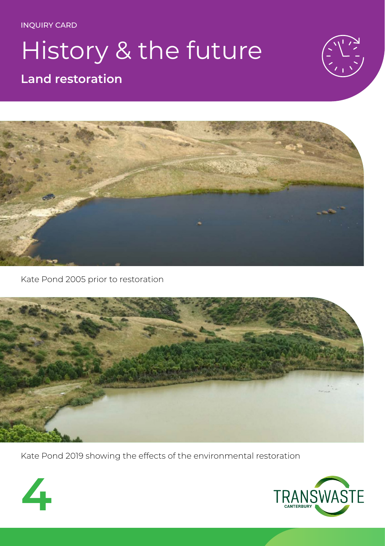# History & the future

#### **Land restoration**





Kate Pond 2005 prior to restoration



Kate Pond 2019 showing the effects of the environmental restoration